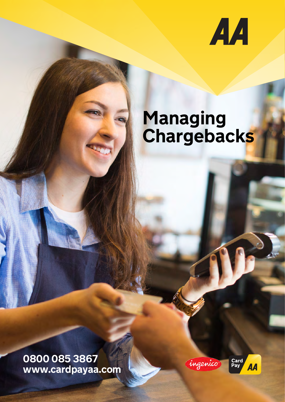

# **Managing Chargebacks**

**0800 085 3867 www.cardpayaa.com**



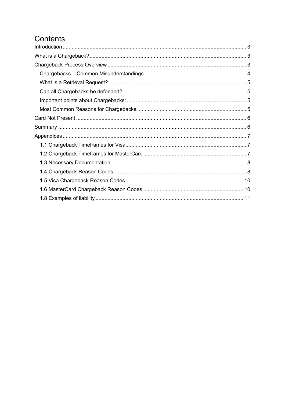# Contents

<span id="page-1-0"></span>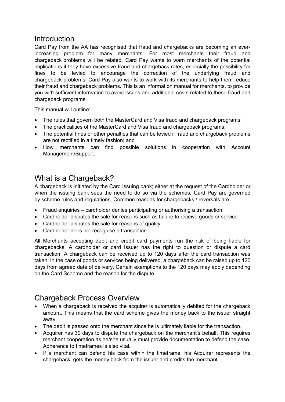## **Introduction**

Card Pay from the AA has recognised that fraud and chargebacks are becoming an everincreasing problem for many merchants. For most merchants their fraud and chargeback problems will be related. Card Pay wants to warn merchants of the potential implications if they have excessive fraud and chargeback rates, especially the possibility for fines to be levied to encourage the correction of the underlying fraud and chargeback problems. Card Pay also wants to work with its merchants to help them reduce their fraud and chargeback problems. This is an information manual for merchants, to provide you with sufficient information to avoid issues and additional costs related to these fraud and chargeback programs.

This manual will outline:

- The rules that govern both the MasterCard and Visa fraud and chargeback programs;
- The practicalities of the MasterCard and Visa fraud and chargeback programs;
- The potential fines or other penalties that can be levied if fraud and chargeback problems are not rectified in a timely fashion; and
- How merchants can find possible solutions in cooperation with Account Management/Support.

# <span id="page-2-0"></span>What is a Chargeback?

A chargeback is initiated by the Card Issuing bank; either at the request of the Cardholder or when the issuing bank sees the need to do so via the schemes. Card Pay are governed by scheme rules and regulations. Common reasons for chargebacks / reversals are:

- Fraud enquiries cardholder denies participating or authorising a transaction
- Cardholder disputes the sale for reasons such as failure to receive goods or service
- Cardholder disputes the sale for reasons of quality
- Cardholder does not recognise a transaction

All Merchants accepting debit and credit card payments run the risk of being liable for chargebacks. A cardholder or card Issuer has the right to question or dispute a card transaction. A chargeback can be received up to 120 days after the card transaction was taken. In the case of goods or services being delivered, a chargeback can be raised up to 120 days from agreed date of delivery. Certain exemptions to the 120 days may apply depending on the Card Scheme and the reason for the dispute.

# <span id="page-2-1"></span>Chargeback Process Overview

- When a chargeback is received the acquirer is automatically debited for the chargeback amount. This means that the card scheme gives the money back to the issuer straight away.
- The debit is passed onto the merchant since he is ultimately liable for the transaction.
- Acquirer has 30 days to dispute the chargeback on the merchant's behalf. This requires merchant cooperation as he/she usually must provide documentation to defend the case. Adherence to timeframes is also vital.
- If a merchant can defend his case within the timeframe, his Acquirer represents the chargeback, gets the money back from the issuer and credits the merchant.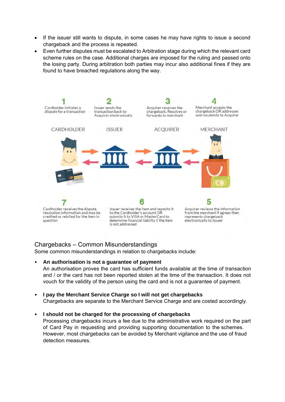- If the issuer still wants to dispute, in some cases he may have rights to issue a second chargeback and the process is repeated.
- Even further disputes must be escalated to Arbitration stage during which the relevant card scheme rules on the case. Additional charges are imposed for the ruling and passed onto the losing party. During arbitration both parties may incur also additional fines if they are found to have breached regulations along the way.



#### <span id="page-3-0"></span>Chargebacks – Common Misunderstandings

Some common misunderstandings in relation to chargebacks include:

• **An authorisation is not a guarantee of payment**

An authorisation proves the card has sufficient funds available at the time of transaction and / or the card has not been reported stolen at the time of the transaction. It does not vouch for the validity of the person using the card and is not a guarantee of payment.

• **I pay the Merchant Service Charge so I will not get chargebacks** Chargebacks are separate to the Merchant Service Charge and are costed accordingly.

#### • **I should not be charged for the processing of chargebacks**

Processing chargebacks incurs a fee due to the administrative work required on the part of Card Pay in requesting and providing supporting documentation to the schemes. However, most chargebacks can be avoided by Merchant vigilance and the use of fraud detection measures.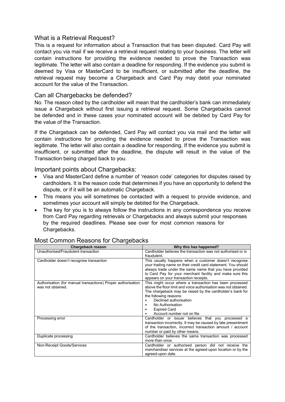#### <span id="page-4-0"></span>What is a Retrieval Request?

This is a request for information about a Transaction that has been disputed. Card Pay will contact you via mail if we receive a retrieval request relating to your business. The letter will contain instructions for providing the evidence needed to prove the Transaction was legitimate. The letter will also contain a deadline for responding. If the evidence you submit is deemed by Visa or MasterCard to be insufficient, or submitted after the deadline, the retrieval request may become a Chargeback and Card Pay may debit your nominated account for the value of the Transaction.

#### <span id="page-4-1"></span>Can all Chargebacks be defended?

No. The reason cited by the cardholder will mean that the cardholder's bank can immediately issue a Chargeback without first issuing a retrieval request. Some Chargebacks cannot be defended and in these cases your nominated account will be debited by Card Pay for the value of the Transaction.

If the Chargeback can be defended, Card Pay will contact you via mail and the letter will contain instructions for providing the evidence needed to prove the Transaction was legitimate. The letter will also contain a deadline for responding. If the evidence you submit is insufficient, or submitted after the deadline, the dispute will result in the value of the Transaction being charged back to you.

#### <span id="page-4-2"></span>Important points about Chargebacks:

- Visa and MasterCard define a number of 'reason code' categories for disputes raised by cardholders. It is the reason code that determines if you have an opportunity to defend the dispute, or if it will be an automatic Chargeback.
- This means you will sometimes be contacted with a request to provide evidence, and sometimes your account will simply be debited for the Chargeback.
- The key for you is to always follow the instructions in any correspondence you receive from Card Pay regarding retrievals or Chargebacks and always submit your responses by the required deadlines. Please see over for most common reasons for Chargebacks.

| Chargeback reason                                                                 | Why this has happened?                                                                                                                                                                                                                                                                                               |
|-----------------------------------------------------------------------------------|----------------------------------------------------------------------------------------------------------------------------------------------------------------------------------------------------------------------------------------------------------------------------------------------------------------------|
| Unauthorised/Fraudulent transaction                                               | Cardholder believes the transaction was not authorised or is<br>fraudulent.                                                                                                                                                                                                                                          |
| Cardholder doesn't recognise transaction                                          | This usually happens when a customer doesn't recognise<br>your trading name on their credit card statement. You should<br>always trade under the same name that you have provided<br>to Card Pay for your merchant facility and make sure this<br>appears on your transaction receipts.                              |
| Authorisation (for manual transactions) Proper authorisation<br>was not obtained. | This might occur where a transaction has been processed<br>above the floor limit and voice authorisation was not obtained.<br>The chargeback may be raised by the cardholder's bank for<br>the following reasons:<br>Declined authorisation<br>No Authorisation<br><b>Expired Card</b><br>Account number not on file |
| Processing error                                                                  | Cardholder or issuer believes that you processed a<br>transaction incorrectly. It may be caused by late presentment<br>of the transaction, incorrect transaction amount / account<br>number or paid by other means.                                                                                                  |
| Duplicate processing                                                              | Cardholder believes the same transaction was processed<br>more than once.                                                                                                                                                                                                                                            |
| Non-Receipt Goods/Services                                                        | Cardholder or authorised person did not receive the<br>merchandise/ services at the agreed-upon location or by the<br>agreed-upon date.                                                                                                                                                                              |

#### <span id="page-4-3"></span>Most Common Reasons for Chargebacks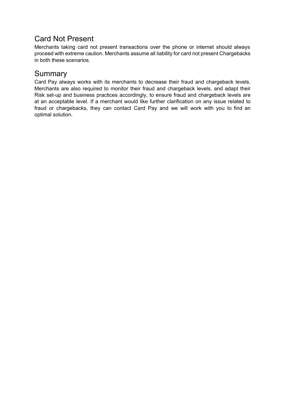# <span id="page-5-0"></span>Card Not Present

Merchants taking card not present transactions over the phone or internet should always proceed with extreme caution. Merchants assume all liability for card not present Chargebacks in both these scenarios.

# <span id="page-5-1"></span>**Summary**

<span id="page-5-2"></span>Card Pay always works with its merchants to decrease their fraud and chargeback levels. Merchants are also required to monitor their fraud and chargeback levels, and adapt their Risk set-up and business practices accordingly, to ensure fraud and chargeback levels are at an acceptable level. If a merchant would like further clarification on any issue related to fraud or chargebacks, they can contact Card Pay and we will work with you to find an optimal solution.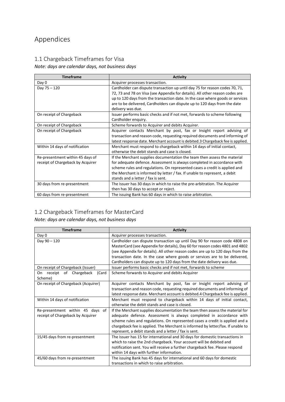# Appendices

## <span id="page-6-0"></span>1.1 Chargeback Timeframes for Visa

### *Note: days are calendar days, not business days*

| <b>Timeframe</b>                  | <b>Activity</b>                                                                |  |
|-----------------------------------|--------------------------------------------------------------------------------|--|
| Day 0                             | Acquirer processes transaction.                                                |  |
| Day 75 - 120                      | Cardholder can dispute transaction up until day 75 for reason codes 70, 71,    |  |
|                                   | 72, 73 and 78 on Visa (see Appendix for details). All other reason codes are   |  |
|                                   | up to 120 days from the transaction date. In the case where goods or services  |  |
|                                   | are to be delivered, Cardholders can dispute up to 120 days from the date      |  |
|                                   | delivery was due.                                                              |  |
| On receipt of Chargeback          | Issuer performs basic checks and if not met, forwards to scheme following      |  |
|                                   | Cardholder enquiry.                                                            |  |
| On receipt of Chargeback          | Scheme forwards to Acquirer and debits Acquirer.                               |  |
| On receipt of Chargeback          | Acquirer contacts Merchant by post, fax or Insight report advising of          |  |
|                                   | transaction and reason code, requesting required documents and informing of    |  |
|                                   | latest response date. Merchant account is debited.3 Chargeback fee is applied. |  |
| Within 14 days of notification    | Merchant must respond to chargeback within 14 days of initial contact,         |  |
|                                   | otherwise the debit stands and case is closed.                                 |  |
| Re-presentment within 45 days of  | If the Merchant supplies documentation the team then assess the material       |  |
| receipt of Chargeback by Acquirer | for adequate defence. Assessment is always completed in accordance with        |  |
|                                   | scheme rules and regulations. On represented cases a credit is applied and     |  |
|                                   | the Merchant is informed by letter / fax. If unable to represent, a debit      |  |
|                                   | stands and a letter / fax is sent.                                             |  |
| 30 days from re-presentment       | The Issuer has 30 days in which to raise the pre-arbitration. The Acquirer     |  |
|                                   | then has 30 days to accept or reject.                                          |  |
| 60 days from re-presentment       | The issuing Bank has 60 days in which to raise arbitration.                    |  |

### <span id="page-6-1"></span>1.2 Chargeback Timeframes for MasterCard

#### *Note: days are calendar days, not business days*

| <b>Timeframe</b>                                                         | <b>Activity</b>                                                                                                                                                                                                                                                                                                                                                                 |
|--------------------------------------------------------------------------|---------------------------------------------------------------------------------------------------------------------------------------------------------------------------------------------------------------------------------------------------------------------------------------------------------------------------------------------------------------------------------|
| Day 0                                                                    | Acquirer processes transaction.                                                                                                                                                                                                                                                                                                                                                 |
| Day 90 - 120                                                             | Cardholder can dispute transaction up until Day 90 for reason code 4808 on<br>MasterCard (see Appendix for details), Day 60 for reason codes 4801 and 4802<br>(see Appendix for details). All other reason codes are up to 120 days from the                                                                                                                                    |
|                                                                          | transaction date. In the case where goods or services are to be delivered,<br>Cardholders can dispute up to 120 days from the date delivery was due.                                                                                                                                                                                                                            |
| On receipt of Chargeback (Issuer)                                        | Issuer performs basic checks and if not met, forwards to scheme                                                                                                                                                                                                                                                                                                                 |
| receipt of Chargeback<br>On<br>(Card<br>Scheme)                          | Scheme forwards to Acquirer and debits Acquirer                                                                                                                                                                                                                                                                                                                                 |
| On receipt of Chargeback (Acquirer)                                      | Acquirer contacts Merchant by post, fax or Insight report advising of<br>transaction and reason code, requesting required documents and informing of<br>latest response date. Merchant account is debited.4 Chargeback fee is applied.                                                                                                                                          |
| Within 14 days of notification                                           | Merchant must respond to chargeback within 14 days of initial contact,<br>otherwise the debit stands and case is closed.                                                                                                                                                                                                                                                        |
| Re-presentment within 45 days<br>of<br>receipt of Chargeback by Acquirer | If the Merchant supplies documentation the team then assess the material for<br>adequate defence. Assessment is always completed in accordance with<br>scheme rules and regulations. On represented cases a credit is applied and a<br>chargeback fee is applied. The Merchant is informed by letter/fax. If unable to<br>represent, a debit stands and a letter / fax is sent. |
| 15/45 days from re-presentment                                           | The Issuer has 15 for international and 30 days for domestic transactions in<br>which to raise the 2nd chargeback. Your account will be debited and<br>notification sent. You will receive a further chargeback fee. Please respond<br>within 14 days with further information.                                                                                                 |
| 45/60 days from re-presentment                                           | The issuing Bank has 45 days for international and 60 days for domestic<br>transactions in which to raise arbitration.                                                                                                                                                                                                                                                          |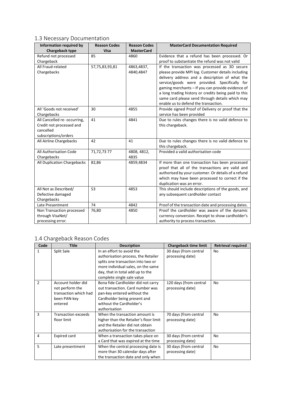## <span id="page-7-0"></span>1.3 Necessary Documentation

| <b>Information required by</b> | <b>Reason Codes</b> | <b>Reason Codes</b> | <b>MasterCard Documentation Required</b>                                                |
|--------------------------------|---------------------|---------------------|-----------------------------------------------------------------------------------------|
| Chargeback type                | <b>Visa</b>         | <b>MasterCard</b>   |                                                                                         |
| Refund not processed           | 85                  | 4860                | Evidence that a refund has been processed. Or                                           |
| Chargeback                     |                     |                     | proof to substantiate the refund was not valid                                          |
| All Fraud-related              | 57,75,83,93,81      | 4863,4837,          | If the transaction was processed as 3D secure                                           |
| Chargebacks                    |                     | 4840,4847           | please provide MPI log. Customer details including                                      |
|                                |                     |                     | delivery address and a description of what the                                          |
|                                |                     |                     | service/goods were provided. Specifically for                                           |
|                                |                     |                     | gaming merchants - If you can provide evidence of                                       |
|                                |                     |                     | a long trading history or credits being paid to this                                    |
|                                |                     |                     | same card please send through details which may<br>enable us to defend the transaction. |
| All 'Goods not received'       | 30                  | 4855                | Provide signed Proof of Delivery or proof that the                                      |
| Chargebacks                    |                     |                     | service has been provided                                                               |
| All Cancelled re- occurring,   | 41                  | 4841                | Due to rules changes there is no valid defence to                                       |
| Credit not processed and       |                     |                     | this chargeback.                                                                        |
| cancelled                      |                     |                     |                                                                                         |
| subscriptions/orders           |                     |                     |                                                                                         |
| All Airline Chargebacks        | 42                  | 41                  | Due to rules changes there is no valid defence to<br>this chargeback.                   |
| All Authorisation Code         | 71,72,73 77         | 4808, 4812,         | Provided a valid authorisation code                                                     |
| Chargebacks                    |                     | 4835                |                                                                                         |
| All Duplication Chargebacks    | 82,86               | 4859,4834           | If more than one transaction has been processed                                         |
|                                |                     |                     | proof that all of the transactions are valid and                                        |
|                                |                     |                     | authorised by your customer. Or details of a refund                                     |
|                                |                     |                     | which may have been processed to correct if the                                         |
|                                |                     |                     | duplication was an error.                                                               |
| All Not as Described/          | 53                  | 4853                | This should include descriptions of the goods, and                                      |
| Defective damaged              |                     |                     | any subsequent cardholder contact                                                       |
| Chargebacks                    |                     |                     |                                                                                         |
| Late Presentment               | 74                  | 4842                | Proof of the transaction date and processing dates.                                     |
| Non Transaction processed      | 76,80               | 4850                | Proof the cardholder was aware of the dynamic                                           |
| through VisaNet/               |                     |                     | currency conversion. Receipt to show cardholder's                                       |
| processing error.              |                     |                     | authority to process transaction.                                                       |

## <span id="page-7-1"></span>1.4 Chargeback Reason Codes

| Code           | <b>Title</b>                                                                              | <b>Description</b>                                                                                                                                                                                             | <b>Chargeback time limit</b>               | <b>Retrieval required</b> |
|----------------|-------------------------------------------------------------------------------------------|----------------------------------------------------------------------------------------------------------------------------------------------------------------------------------------------------------------|--------------------------------------------|---------------------------|
| 1              | Split Sale                                                                                | In an effort to avoid the<br>authorisation process, the Retailer<br>splits one transaction into two or<br>more individual sales, on the same<br>day, that in total add up to the<br>complete single sale value | 30 days (from central<br>processing date)  | No                        |
| $\overline{2}$ | Account holder did<br>not perform the<br>transaction which had<br>been PAN-key<br>entered | Bona fide Cardholder did not carry<br>out transaction. Card number was<br>pan-key entered without the<br>Cardholder being present and<br>without the Cardholder's<br>authorisation                             | 120 days (from central<br>processing date) | No                        |
| 3              | <b>Transaction exceeds</b><br>floor limit                                                 | When the transaction amount is<br>higher than the Retailer's floor limit<br>and the Retailer did not obtain<br>authorisation for the transaction                                                               | 70 days (from central<br>processing date)  | No                        |
| 4              | <b>Expired card</b>                                                                       | When a transaction takes place on<br>a Card that was expired at the time                                                                                                                                       | 30 days (from central<br>processing date)  | No                        |
| 5              | Late presentment                                                                          | When the central processing date is<br>more than 30 calendar days after<br>the transaction date and only when                                                                                                  | 30 days (from central<br>processing date)  | No                        |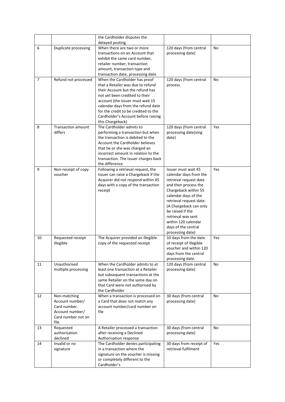|    |                                      | the Cardholder disputes the                                            |                         |           |
|----|--------------------------------------|------------------------------------------------------------------------|-------------------------|-----------|
|    |                                      | delayed posting                                                        |                         |           |
| 6  | Duplicate processing                 | When there are two or more                                             | 120 days (from central  | <b>No</b> |
|    |                                      | transactions on an Account that                                        | processing date)        |           |
|    |                                      | exhibit the same card number,                                          |                         |           |
|    |                                      | retailer number, transaction                                           |                         |           |
|    |                                      | amount, transaction type and                                           |                         |           |
|    |                                      | transaction date, processing date                                      |                         |           |
| 7  | Refund not processed                 | When the Cardholder has proof                                          | 120 days (from central  | No        |
|    |                                      | that a Retailer was due to refund                                      | process                 |           |
|    |                                      | their Account but the refund has                                       |                         |           |
|    |                                      | not yet been credited to their                                         |                         |           |
|    |                                      | account (the Issuer must wait 15                                       |                         |           |
|    |                                      | calendar days from the refund date                                     |                         |           |
|    |                                      | for the credit to be credited to the                                   |                         |           |
|    |                                      | Cardholder's Account before raising                                    |                         |           |
|    |                                      | this Chargeback)<br>The Cardholder admits to                           |                         |           |
| 8  | <b>Transaction amount</b><br>differs |                                                                        | 120 days (from central  | Yes       |
|    |                                      | performing a transaction but when<br>the transaction is debited to the | processing date)sing    |           |
|    |                                      | <b>Account the Cardholder believes</b>                                 | date)                   |           |
|    |                                      |                                                                        |                         |           |
|    |                                      | that he or she was charged an<br>incorrect amount in relation to the   |                         |           |
|    |                                      | transaction. The Issuer charges back                                   |                         |           |
|    |                                      | the difference                                                         |                         |           |
| 9  | Non-receipt of copy                  | Following a retrieval request, the                                     | Issuer must wait 45     | Yes       |
|    | voucher                              | Issuer can raise a Chargeback if the                                   | calendar days from the  |           |
|    |                                      | Acquirer did not respond within 45                                     | retrieval request date  |           |
|    |                                      | days with a copy of the transaction                                    | and then process the    |           |
|    |                                      | receipt                                                                | Chargeback within 55    |           |
|    |                                      |                                                                        | calendar days of the    |           |
|    |                                      |                                                                        | retrieval request date. |           |
|    |                                      |                                                                        | (A Chargeback can only  |           |
|    |                                      |                                                                        | be raised if the        |           |
|    |                                      |                                                                        | retrieval was sent      |           |
|    |                                      |                                                                        | within 120 calendar     |           |
|    |                                      |                                                                        | days of the central     |           |
|    |                                      |                                                                        | processing date)        |           |
| 10 | Requested receipt                    | The Acquirer provided an illegible                                     | 10 days from the date   | Yes       |
|    | illegible                            | copy of the requested receipt                                          | of receipt of illegible |           |
|    |                                      |                                                                        | voucher and within 120  |           |
|    |                                      |                                                                        | days from the central   |           |
|    |                                      |                                                                        | processing date.        |           |
| 11 | Unauthorised                         | When the Cardholder admits to at                                       | 120 days (from central  | No        |
|    | multiple processing                  | least one transaction at a Retailer                                    | processing date)        |           |
|    |                                      | but subsequent transactions at the                                     |                         |           |
|    |                                      | same Retailer on the same day on                                       |                         |           |
|    |                                      | that Card were not authorised by                                       |                         |           |
|    |                                      | the Cardholder                                                         |                         |           |
| 12 | Non-matching                         | When a transaction is processed on                                     | 30 days (from central   | No        |
|    | Account number/                      | a Card that does not match any                                         | processing date)        |           |
|    | Card number.                         | account number/card number on                                          |                         |           |
|    | Account number/                      | file                                                                   |                         |           |
|    | Card number not on                   |                                                                        |                         |           |
|    | file                                 |                                                                        |                         |           |
| 13 | Requested                            | A Retailer processed a transaction                                     | 30 days (from central   | No        |
|    | authorisation                        | after receiving a Declined                                             | processing date)        |           |
|    | declined                             | Authorisation response                                                 |                         |           |
| 14 | Invalid or no                        | The Cardholder denies participating                                    | 30 days from receipt of | Yes       |
|    | signature                            | in a transaction where the                                             | retrieval fulfilment    |           |
|    |                                      | signature on the voucher is missing                                    |                         |           |
|    |                                      | or completely different to the                                         |                         |           |
|    |                                      | Cardholder's                                                           |                         |           |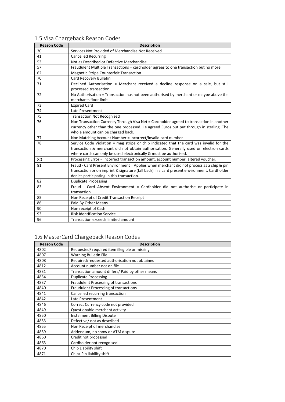| <b>Reason Code</b> | <b>Description</b>                                                                          |  |  |
|--------------------|---------------------------------------------------------------------------------------------|--|--|
| 30                 | Services Not Provided of Merchandise Not Received                                           |  |  |
| 41                 | <b>Cancelled Recurring</b>                                                                  |  |  |
| 53                 | Not as Described or Defective Merchandise                                                   |  |  |
| 57                 | Fraudulent Multiple Transactions = cardholder agrees to one transaction but no more.        |  |  |
| 62                 | Magnetic Stripe Counterfeit Transaction                                                     |  |  |
| 70                 | Card Recovery Bulletin                                                                      |  |  |
| 71                 | Declined Authorisation = Merchant received a decline response on a sale, but still          |  |  |
|                    | processed transaction                                                                       |  |  |
| 72                 | No Authorisation = Transaction has not been authorised by merchant or maybe above the       |  |  |
|                    | merchants floor limit                                                                       |  |  |
| 73                 | <b>Expired Card</b>                                                                         |  |  |
| 74                 | Late Presentment                                                                            |  |  |
| 75                 | <b>Transaction Not Recognised</b>                                                           |  |  |
| 76                 | Non Transaction Currency Through Visa Net = Cardholder agreed to transaction in another     |  |  |
|                    | currency other than the one processed. i.e agreed Euros but put through in sterling. The    |  |  |
|                    | whole amount can be charged back.                                                           |  |  |
| 77                 | Non Matching Account Number = incorrect/invalid card number                                 |  |  |
| 78                 | Service Code Violation = mag stripe or chip indicated that the card was invalid for the     |  |  |
|                    | transaction & merchant did not obtain authorisation. Generally used on electron cards       |  |  |
|                    | where cards can only be used electronically & must be authorised.                           |  |  |
| 80                 | Processing Error = incorrect transaction amount, account number, altered voucher.           |  |  |
| 81                 | Fraud - Card Present Environment = Applies when merchant did not process as a chip & pin    |  |  |
|                    | transaction or on imprint & signature (fall back) in a card present environment. Cardholder |  |  |
|                    | denies participating in this transaction.                                                   |  |  |
| 82                 | <b>Duplicate Processing</b>                                                                 |  |  |
| 83                 | Fraud - Card Absent Environment = Cardholder did not authorise or participate in            |  |  |
|                    | transaction                                                                                 |  |  |
| 85                 | Non Receipt of Credit Transaction Receipt                                                   |  |  |
| 86                 | Paid By Other Means                                                                         |  |  |
| 90                 | Non receipt of Cash                                                                         |  |  |
| 93                 | <b>Risk Identification Service</b>                                                          |  |  |
| 96                 | Transaction exceeds limited amount                                                          |  |  |

## <span id="page-9-0"></span>1.5 Visa Chargeback Reason Codes

# <span id="page-9-1"></span>1.6 MasterCard Chargeback Reason Codes

| <b>Reason Code</b> | <b>Description</b>                              |
|--------------------|-------------------------------------------------|
| 4802               | Requested/required item illegible or missing    |
| 4807               | <b>Warning Bulletin File</b>                    |
| 4808               | Required/requested authorisation not obtained   |
| 4812               | Account number not on file                      |
| 4831               | Transaction amount differs/ Paid by other means |
| 4834               | <b>Duplicate Processing</b>                     |
| 4837               | Fraudulent Processing of transactions           |
| 4840               | Fraudulent Processing of transactions           |
| 4841               | Cancelled recurring transaction                 |
| 4842               | Late Presentment                                |
| 4846               | Correct Currency code not provided              |
| 4849               | Questionable merchant activity                  |
| 4850               | <b>Instalment Billing Dispute</b>               |
| 4853               | Defective/ not as described                     |
| 4855               | Non Receipt of merchandise                      |
| 4859               | Addendum, no show or ATM dispute                |
| 4860               | Credit not processed                            |
| 4863               | Cardholder not recognised                       |
| 4870               | Chip Liability shift                            |
| 4871               | Chip/ Pin liability shift                       |